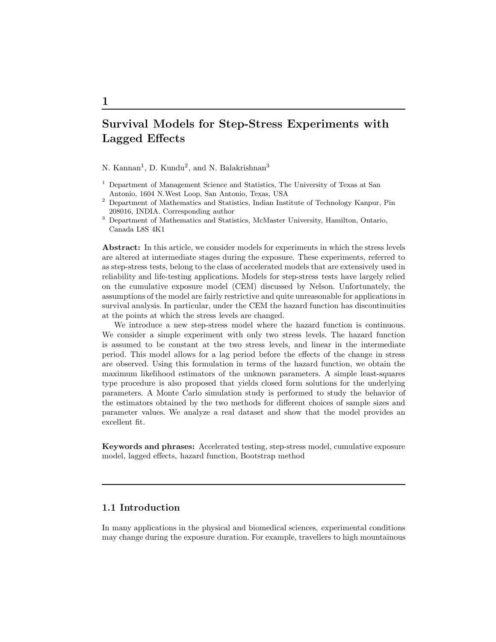# Survival Models for Step-Stress Experiments with Lagged Effects

N. Kannan<sup>1</sup>, D. Kundu<sup>2</sup>, and N. Balakrishnan<sup>3</sup>

- <sup>1</sup> Department of Management Science and Statistics, The University of Texas at San Antonio, 1604 N.West Loop, San Antonio, Texas, USA
- <sup>2</sup> Department of Mathematics and Statistics, Indian Institute of Technology Kanpur, Pin 208016, INDIA. Corresponding author
- <sup>3</sup> Department of Mathematics and Statistics, McMaster University, Hamilton, Ontario, Canada L8S 4K1

Abstract: In this article, we consider models for experiments in which the stress levels are altered at intermediate stages during the exposure. These experiments, referred to as step-stress tests, belong to the class of accelerated models that are extensively used in reliability and life-testing applications. Models for step-stress tests have largely relied on the cumulative exposure model (CEM) discussed by Nelson. Unfortunately, the assumptions of the model are fairly restrictive and quite unreasonable for applications in survival analysis. In particular, under the CEM the hazard function has discontinuities at the points at which the stress levels are changed.

We introduce a new step-stress model where the hazard function is continuous. We consider a simple experiment with only two stress levels. The hazard function is assumed to be constant at the two stress levels, and linear in the intermediate period. This model allows for a lag period before the effects of the change in stress are observed. Using this formulation in terms of the hazard function, we obtain the maximum likelihood estimators of the unknown parameters. A simple least-squares type procedure is also proposed that yields closed form solutions for the underlying parameters. A Monte Carlo simulation study is performed to study the behavior of the estimators obtained by the two methods for different choices of sample sizes and parameter values. We analyze a real dataset and show that the model provides an excellent fit.

Keywords and phrases: Accelerated testing, step-stress model, cumulative exposure model, lagged effects, hazard function, Bootstrap method

# 1.1 Introduction

In many applications in the physical and biomedical sciences, experimental conditions may change during the exposure duration. For example, travellers to high mountainous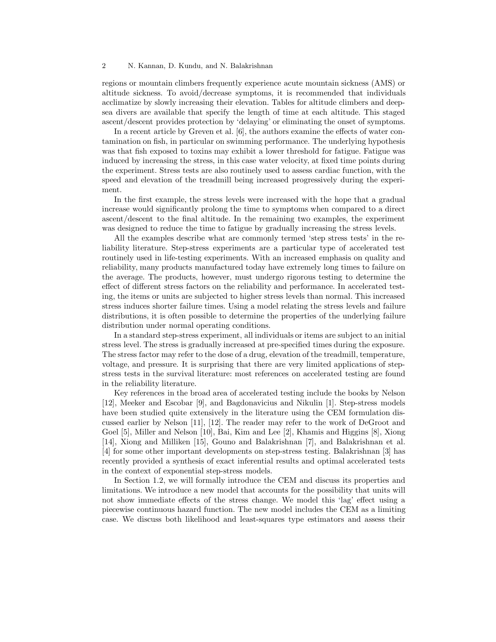regions or mountain climbers frequently experience acute mountain sickness (AMS) or altitude sickness. To avoid/decrease symptoms, it is recommended that individuals acclimatize by slowly increasing their elevation. Tables for altitude climbers and deepsea divers are available that specify the length of time at each altitude. This staged ascent/descent provides protection by 'delaying' or eliminating the onset of symptoms.

In a recent article by Greven et al. [6], the authors examine the effects of water contamination on fish, in particular on swimming performance. The underlying hypothesis was that fish exposed to toxins may exhibit a lower threshold for fatigue. Fatigue was induced by increasing the stress, in this case water velocity, at fixed time points during the experiment. Stress tests are also routinely used to assess cardiac function, with the speed and elevation of the treadmill being increased progressively during the experiment.

In the first example, the stress levels were increased with the hope that a gradual increase would significantly prolong the time to symptoms when compared to a direct ascent/descent to the final altitude. In the remaining two examples, the experiment was designed to reduce the time to fatigue by gradually increasing the stress levels.

All the examples describe what are commonly termed 'step stress tests' in the reliability literature. Step-stress experiments are a particular type of accelerated test routinely used in life-testing experiments. With an increased emphasis on quality and reliability, many products manufactured today have extremely long times to failure on the average. The products, however, must undergo rigorous testing to determine the effect of different stress factors on the reliability and performance. In accelerated testing, the items or units are subjected to higher stress levels than normal. This increased stress induces shorter failure times. Using a model relating the stress levels and failure distributions, it is often possible to determine the properties of the underlying failure distribution under normal operating conditions.

In a standard step-stress experiment, all individuals or items are subject to an initial stress level. The stress is gradually increased at pre-specified times during the exposure. The stress factor may refer to the dose of a drug, elevation of the treadmill, temperature, voltage, and pressure. It is surprising that there are very limited applications of stepstress tests in the survival literature: most references on accelerated testing are found in the reliability literature.

Key references in the broad area of accelerated testing include the books by Nelson [12], Meeker and Escobar [9], and Bagdonavicius and Nikulin [1]. Step-stress models have been studied quite extensively in the literature using the CEM formulation discussed earlier by Nelson [11], [12]. The reader may refer to the work of DeGroot and Goel [5], Miller and Nelson [10], Bai, Kim and Lee [2], Khamis and Higgins [8], Xiong [14], Xiong and Milliken [15], Gouno and Balakrishnan [7], and Balakrishnan et al. [4] for some other important developments on step-stress testing. Balakrishnan [3] has recently provided a synthesis of exact inferential results and optimal accelerated tests in the context of exponential step-stress models.

In Section 1.2, we will formally introduce the CEM and discuss its properties and limitations. We introduce a new model that accounts for the possibility that units will not show immediate effects of the stress change. We model this 'lag' effect using a piecewise continuous hazard function. The new model includes the CEM as a limiting case. We discuss both likelihood and least-squares type estimators and assess their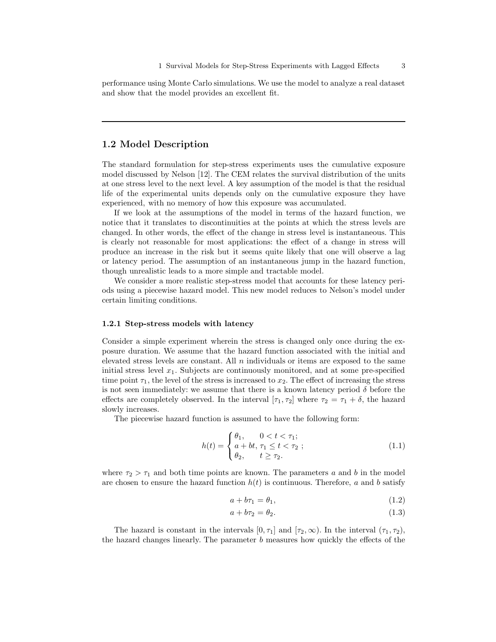performance using Monte Carlo simulations. We use the model to analyze a real dataset and show that the model provides an excellent fit.

## 1.2 Model Description

The standard formulation for step-stress experiments uses the cumulative exposure model discussed by Nelson [12]. The CEM relates the survival distribution of the units at one stress level to the next level. A key assumption of the model is that the residual life of the experimental units depends only on the cumulative exposure they have experienced, with no memory of how this exposure was accumulated.

If we look at the assumptions of the model in terms of the hazard function, we notice that it translates to discontinuities at the points at which the stress levels are changed. In other words, the effect of the change in stress level is instantaneous. This is clearly not reasonable for most applications: the effect of a change in stress will produce an increase in the risk but it seems quite likely that one will observe a lag or latency period. The assumption of an instantaneous jump in the hazard function, though unrealistic leads to a more simple and tractable model.

We consider a more realistic step-stress model that accounts for these latency periods using a piecewise hazard model. This new model reduces to Nelson's model under certain limiting conditions.

#### 1.2.1 Step-stress models with latency

Consider a simple experiment wherein the stress is changed only once during the exposure duration. We assume that the hazard function associated with the initial and elevated stress levels are constant. All  $n$  individuals or items are exposed to the same initial stress level  $x_1$ . Subjects are continuously monitored, and at some pre-specified time point  $\tau_1$ , the level of the stress is increased to  $x_2$ . The effect of increasing the stress is not seen immediately: we assume that there is a known latency period  $\delta$  before the effects are completely observed. In the interval  $[\tau_1, \tau_2]$  where  $\tau_2 = \tau_1 + \delta$ , the hazard slowly increases.

The piecewise hazard function is assumed to have the following form:

$$
h(t) = \begin{cases} \theta_1, & 0 < t < \tau_1; \\ a + bt, & \tau_1 \le t < \tau_2; \\ \theta_2, & t \ge \tau_2. \end{cases} \tag{1.1}
$$

where  $\tau_2 > \tau_1$  and both time points are known. The parameters a and b in the model are chosen to ensure the hazard function  $h(t)$  is continuous. Therefore, a and b satisfy

$$
a + b\tau_1 = \theta_1,\tag{1.2}
$$

$$
a + b\tau_2 = \theta_2. \tag{1.3}
$$

The hazard is constant in the intervals  $[0, \tau_1]$  and  $[\tau_2, \infty)$ . In the interval  $(\tau_1, \tau_2)$ , the hazard changes linearly. The parameter b measures how quickly the effects of the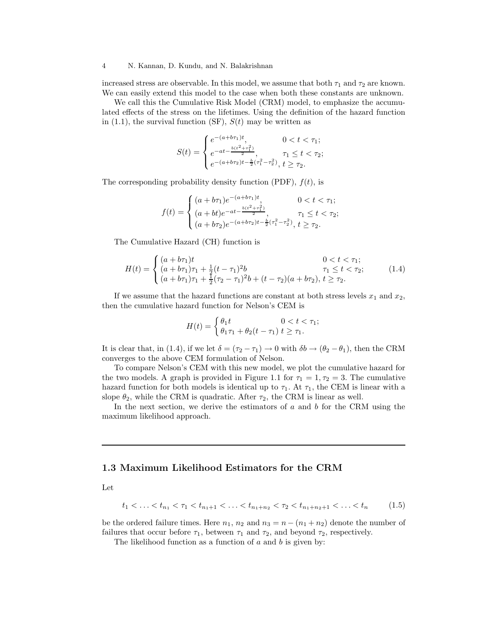increased stress are observable. In this model, we assume that both  $\tau_1$  and  $\tau_2$  are known. We can easily extend this model to the case when both these constants are unknown.

We call this the Cumulative Risk Model (CRM) model, to emphasize the accumulated effects of the stress on the lifetimes. Using the definition of the hazard function in  $(1.1)$ , the survival function  $(SF)$ ,  $S(t)$  may be written as

$$
S(t) = \begin{cases} e^{-(a+b\tau_1)t}, & 0 < t < \tau_1; \\ e^{-at - \frac{b(t^2 + \tau_1^2)}{2}}, & \tau_1 \le t < \tau_2; \\ e^{-(a+b\tau_2)t - \frac{b}{2}(\tau_1^2 - \tau_2^2)}, & t \ge \tau_2. \end{cases}
$$

The corresponding probability density function (PDF),  $f(t)$ , is

$$
f(t) = \begin{cases} (a + b\tau_1)e^{-(a+b\tau_1)t}, & 0 < t < \tau_1; \\ (a + bt)e^{-at - \frac{b(t^2 + \tau_1^2)}{2}}, & \tau_1 \le t < \tau_2; \\ (a + b\tau_2)e^{-(a+b\tau_2)t - \frac{b}{2}(\tau_1^2 - \tau_2^2)}, & t \ge \tau_2. \end{cases}
$$

The Cumulative Hazard (CH) function is

$$
H(t) = \begin{cases} (a+b\tau_1)t & 0 < t < \tau_1; \\ (a+b\tau_1)\tau_1 + \frac{1}{2}(t-\tau_1)^2b & \tau_1 \le t < \tau_2; \\ (a+b\tau_1)\tau_1 + \frac{1}{2}(\tau_2-\tau_1)^2b + (t-\tau_2)(a+b\tau_2), \ t \ge \tau_2. \end{cases}
$$
(1.4)

If we assume that the hazard functions are constant at both stress levels  $x_1$  and  $x_2$ , then the cumulative hazard function for Nelson's CEM is

$$
H(t) = \begin{cases} \theta_1 t & 0 < t < \tau_1; \\ \theta_1 \tau_1 + \theta_2 (t - \tau_1) & t \ge \tau_1. \end{cases}
$$

It is clear that, in (1.4), if we let  $\delta = (\tau_2 - \tau_1) \to 0$  with  $\delta b \to (\theta_2 - \theta_1)$ , then the CRM converges to the above CEM formulation of Nelson.

To compare Nelson's CEM with this new model, we plot the cumulative hazard for the two models. A graph is provided in Figure 1.1 for  $\tau_1 = 1, \tau_2 = 3$ . The cumulative hazard function for both models is identical up to  $\tau_1$ . At  $\tau_1$ , the CEM is linear with a slope  $\theta_2$ , while the CRM is quadratic. After  $\tau_2$ , the CRM is linear as well.

In the next section, we derive the estimators of  $a$  and  $b$  for the CRM using the maximum likelihood approach.

# 1.3 Maximum Likelihood Estimators for the CRM

Let

$$
t_1 < \ldots < t_{n_1} < \tau_1 < t_{n_1+1} < \ldots < t_{n_1+n_2} < \tau_2 < t_{n_1+n_2+1} < \ldots < t_n \tag{1.5}
$$

be the ordered failure times. Here  $n_1$ ,  $n_2$  and  $n_3 = n - (n_1 + n_2)$  denote the number of failures that occur before  $\tau_1$ , between  $\tau_1$  and  $\tau_2$ , and beyond  $\tau_2$ , respectively.

The likelihood function as a function of  $a$  and  $b$  is given by: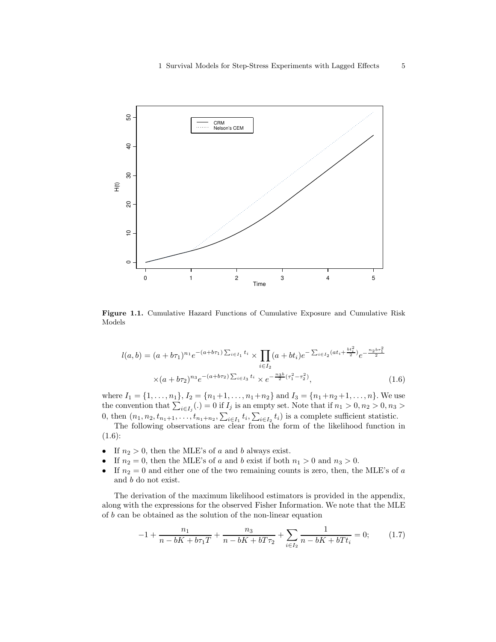

Figure 1.1. Cumulative Hazard Functions of Cumulative Exposure and Cumulative Risk Models

$$
l(a,b) = (a+b\tau_1)^{n_1} e^{-(a+b\tau_1)\sum_{i\in I_1} t_i} \times \prod_{i\in I_2} (a+bt_i) e^{-\sum_{i\in I_2} (at_i + \frac{bt_i^2}{2})} e^{-\frac{n_2 b\tau_1^2}{2}}
$$

$$
\times (a+b\tau_2)^{n_3} e^{-(a+b\tau_2)\sum_{i\in I_3} t_i} \times e^{-\frac{n_3 b}{2}(\tau_1^2 - \tau_2^2)},
$$
(1.6)

where  $I_1 = \{1, \ldots, n_1\}, I_2 = \{n_1 + 1, \ldots, n_1 + n_2\}$  and  $I_3 = \{n_1 + n_2 + 1, \ldots, n\}.$  We use the convention that  $\sum_{i\in I_j}(.)=0$  if  $I_j$  is an empty set. Note that if  $n_1>0, n_2>0, n_3>0$ 0, then  $(n_1, n_2, t_{n_1+1}, \ldots, t_{n_1+n_2}, \sum_{i \in I_1} t_i, \sum_{i \in I_2} t_i)$  is a complete sufficient statistic.

The following observations are clear from the form of the likelihood function in  $(1.6):$ 

- If  $n_2 > 0$ , then the MLE's of a and b always exist.
- If  $n_2 = 0$ , then the MLE's of a and b exist if both  $n_1 > 0$  and  $n_3 > 0$ .
- If  $n_2 = 0$  and either one of the two remaining counts is zero, then, the MLE's of a and b do not exist.

The derivation of the maximum likelihood estimators is provided in the appendix, along with the expressions for the observed Fisher Information. We note that the MLE of b can be obtained as the solution of the non-linear equation

$$
-1 + \frac{n_1}{n - bK + b\tau_1 T} + \frac{n_3}{n - bK + bT\tau_2} + \sum_{i \in I_2} \frac{1}{n - bK + bTt_i} = 0; \tag{1.7}
$$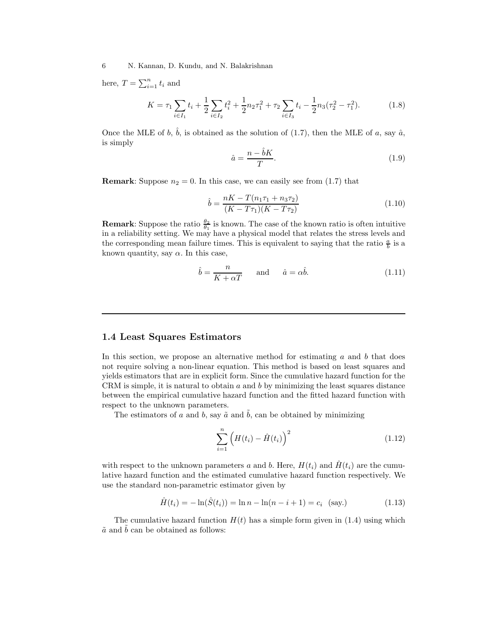here,  $T = \sum_{i=1}^{n} t_i$  and

$$
K = \tau_1 \sum_{i \in I_1} t_i + \frac{1}{2} \sum_{i \in I_2} t_i^2 + \frac{1}{2} n_2 \tau_1^2 + \tau_2 \sum_{i \in I_3} t_i - \frac{1}{2} n_3 (\tau_2^2 - \tau_1^2). \tag{1.8}
$$

Once the MLE of b,  $\hat{b}$ , is obtained as the solution of (1.7), then the MLE of a, say  $\hat{a}$ , is simply

$$
\hat{a} = \frac{n - \hat{b}K}{T}.\tag{1.9}
$$

**Remark:** Suppose  $n_2 = 0$ . In this case, we can easily see from  $(1.7)$  that

$$
\hat{b} = \frac{nK - T(n_1\tau_1 + n_3\tau_2)}{(K - T\tau_1)(K - T\tau_2)}\tag{1.10}
$$

**Remark:** Suppose the ratio  $\frac{\theta_2}{\theta_1}$  is known. The case of the known ratio is often intuitive in a reliability setting. We may have a physical model that relates the stress levels and the corresponding mean failure times. This is equivalent to saying that the ratio  $\frac{a}{b}$  is a known quantity, say  $\alpha$ . In this case,

$$
\hat{b} = \frac{n}{K + \alpha T} \quad \text{and} \quad \hat{a} = \alpha \hat{b}.
$$
\n(1.11)

# 1.4 Least Squares Estimators

In this section, we propose an alternative method for estimating  $a$  and  $b$  that does not require solving a non-linear equation. This method is based on least squares and yields estimators that are in explicit form. Since the cumulative hazard function for the CRM is simple, it is natural to obtain  $a$  and  $b$  by minimizing the least squares distance between the empirical cumulative hazard function and the fitted hazard function with respect to the unknown parameters.

The estimators of a and b, say  $\tilde{a}$  and  $\tilde{b}$ , can be obtained by minimizing

$$
\sum_{i=1}^{n} \left( H(t_i) - \hat{H}(t_i) \right)^2 \tag{1.12}
$$

with respect to the unknown parameters a and b. Here,  $H(t_i)$  and  $\tilde{H}(t_i)$  are the cumulative hazard function and the estimated cumulative hazard function respectively. We use the standard non-parametric estimator given by

$$
\hat{H}(t_i) = -\ln(\hat{S}(t_i)) = \ln n - \ln(n - i + 1) = c_i \quad \text{(say.)} \tag{1.13}
$$

The cumulative hazard function  $H(t)$  has a simple form given in (1.4) using which  $\tilde{a}$  and  $\tilde{b}$  can be obtained as follows: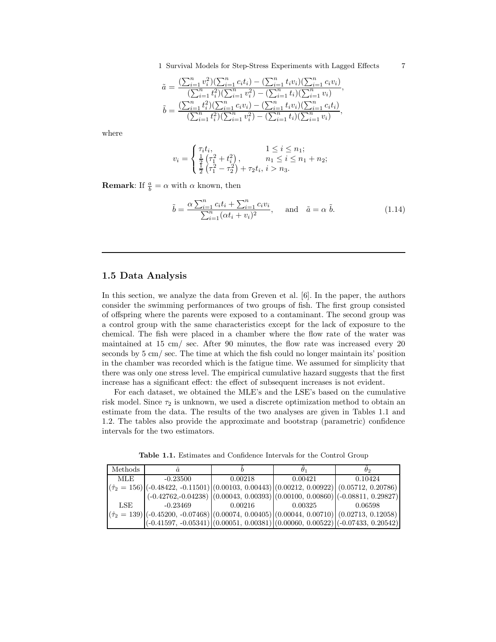1 Survival Models for Step-Stress Experiments with Lagged Effects 7

$$
\begin{array}{llll} \tilde{a} = \frac{(\sum_{i=1}^n v_i^2)(\sum_{i=1}^n c_it_i) - (\sum_{i=1}^n t_iv_i)(\sum_{i=1}^n c_iv_i)}{(\sum_{i=1}^n t_i^2)(\sum_{i=1}^n v_i^2) - (\sum_{i=1}^n t_i)(\sum_{i=1}^n v_i)},\\ \tilde{b} = \frac{(\sum_{i=1}^n t_i^2)(\sum_{i=1}^n c_iv_i) - (\sum_{i=1}^n t_iv_i)(\sum_{i=1}^n c_it_i)}{(\sum_{i=1}^n t_i^2)(\sum_{i=1}^n v_i^2) - (\sum_{i=1}^n t_i)(\sum_{i=1}^n v_i)}, \end{array}
$$

where

$$
v_i = \begin{cases} \tau_i t_i, & 1 \leq i \leq n_1; \\ \frac{1}{2} \left( \tau_1^2 + t_i^2 \right), & n_1 \leq i \leq n_1 + n_2; \\ \frac{1}{2} \left( \tau_1^2 - \tau_2^2 \right) + \tau_2 t_i, & i > n_3. \end{cases}
$$

**Remark:** If  $\frac{a}{b} = \alpha$  with  $\alpha$  known, then

$$
\tilde{b} = \frac{\alpha \sum_{i=1}^{n} c_i t_i + \sum_{i=1}^{n} c_i v_i}{\sum_{i=1}^{n} (\alpha t_i + v_i)^2}, \quad \text{and} \quad \tilde{a} = \alpha \ \tilde{b}.
$$
\n(1.14)

#### 1.5 Data Analysis

In this section, we analyze the data from Greven et al. [6]. In the paper, the authors consider the swimming performances of two groups of fish. The first group consisted of offspring where the parents were exposed to a contaminant. The second group was a control group with the same characteristics except for the lack of exposure to the chemical. The fish were placed in a chamber where the flow rate of the water was maintained at 15 cm/ sec. After 90 minutes, the flow rate was increased every 20 seconds by 5 cm/ sec. The time at which the fish could no longer maintain its' position in the chamber was recorded which is the fatigue time. We assumed for simplicity that there was only one stress level. The empirical cumulative hazard suggests that the first increase has a significant effect: the effect of subsequent increases is not evident.

For each dataset, we obtained the MLE's and the LSE's based on the cumulative risk model. Since  $\tau_2$  is unknown, we used a discrete optimization method to obtain an estimate from the data. The results of the two analyses are given in Tables 1.1 and 1.2. The tables also provide the approximate and bootstrap (parametric) confidence intervals for the two estimators.

Table 1.1. Estimates and Confidence Intervals for the Control Group

| Methods |                                                                                                      |         |         | ゖっ      |
|---------|------------------------------------------------------------------------------------------------------|---------|---------|---------|
| MLE     | $-0.23500$                                                                                           | 0.00218 | 0.00421 | 0.10424 |
|         | $(\hat{\tau}_2 = 156)$ (-0.48422, -0.11501) (0.00103, 0.00443) (0.00212, 0.00922) (0.05712, 0.20786) |         |         |         |
|         | $(0.42762, 0.04238)$ $(0.00043, 0.00393)$ $(0.00100, 0.00860)$ $(-0.08811, 0.29827)$                 |         |         |         |
| LSE     | $-0.23469$                                                                                           | 0.00216 | 0.00325 | 0.06598 |
|         | $(\hat{\tau}_2 = 139)$ (-0.45200, -0.07468) (0.00074, 0.00405) (0.00044, 0.00710) (0.02713, 0.12058) |         |         |         |
|         | $(-0.41597, -0.05341)$ $(0.00051, 0.00381)$ $(0.00060, 0.00522)$ $(-0.07433, 0.20542)$               |         |         |         |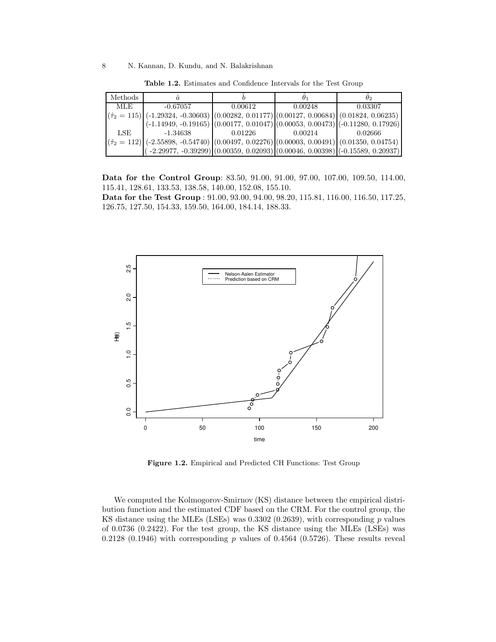| Methods |                                                                                                                                                                                              |         |         | ゖっ      |
|---------|----------------------------------------------------------------------------------------------------------------------------------------------------------------------------------------------|---------|---------|---------|
| MLE.    | $-0.67057$                                                                                                                                                                                   | 0.00612 | 0.00248 | 0.03307 |
|         | $\left  \left( \hat{\tau}_2 = 115 \right) \right $ (-1.29324, -0.30603) $\left  \left( 0.00282, 0.01177 \right) \right $ (0.00127, 0.00684) $\left  \left( 0.01824, 0.06235 \right) \right $ |         |         |         |
|         | $(-1.14949, -0.19165)$ $(0.00177, 0.01047)$ $(0.00053, 0.00473)$ $(-0.11280, 0.17926)$                                                                                                       |         |         |         |
| LSE     | $-1.34638$                                                                                                                                                                                   | 0.01226 | 0.00214 | 0.02666 |
|         | $ (\hat{\tau}_2 = 112) $ (-2.55898, -0.54740) $ (0.00497, 0.02276) (0.00003, 0.00491) (0.01350, 0.04754)$                                                                                    |         |         |         |
|         | $(-2.29977, -0.39299)$ $(0.00359, 0.02093)$ $(0.00046, 0.00398)$ $(-0.15589, 0.20937)$                                                                                                       |         |         |         |

Table 1.2. Estimates and Confidence Intervals for the Test Group

Data for the Control Group: 83.50, 91.00, 91.00, 97.00, 107.00, 109.50, 114.00, 115.41, 128.61, 133.53, 138.58, 140.00, 152.08, 155.10.

Data for the Test Group : 91.00, 93.00, 94.00, 98.20, 115.81, 116.00, 116.50, 117.25, 126.75, 127.50, 154.33, 159.50, 164.00, 184.14, 188.33.



Figure 1.2. Empirical and Predicted CH Functions: Test Group

We computed the Kolmogorov-Smirnov (KS) distance between the empirical distribution function and the estimated CDF based on the CRM. For the control group, the KS distance using the MLEs (LSEs) was  $0.3302$  (0.2639), with corresponding p values of 0.0736 (0.2422). For the test group, the KS distance using the MLEs (LSEs) was 0.2128 (0.1946) with corresponding  $p$  values of 0.4564 (0.5726). These results reveal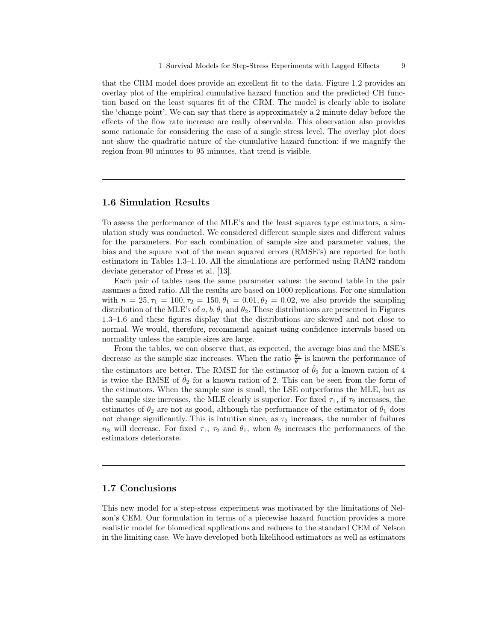that the CRM model does provide an excellent fit to the data. Figure 1.2 provides an overlay plot of the empirical cumulative hazard function and the predicted CH function based on the least squares fit of the CRM. The model is clearly able to isolate the 'change point'. We can say that there is approximately a 2 minute delay before the effects of the flow rate increase are really observable. This observation also provides some rationale for considering the case of a single stress level. The overlay plot does not show the quadratic nature of the cumulative hazard function: if we magnify the region from 90 minutes to 95 minutes, that trend is visible.

#### 1.6 Simulation Results

To assess the performance of the MLE's and the least squares type estimators, a simulation study was conducted. We considered different sample sizes and different values for the parameters. For each combination of sample size and parameter values, the bias and the square root of the mean squared errors (RMSE's) are reported for both estimators in Tables 1.3–1.10. All the simulations are performed using RAN2 random deviate generator of Press et al. [13].

Each pair of tables uses the same parameter values: the second table in the pair assumes a fixed ratio. All the results are based on 1000 replications. For one simulation with  $n = 25, \tau_1 = 100, \tau_2 = 150, \theta_1 = 0.01, \theta_2 = 0.02$ , we also provide the sampling distribution of the MLE's of  $a, b, \theta_1$  and  $\theta_2$ . These distributions are presented in Figures 1.3–1.6 and these figures display that the distributions are skewed and not close to normal. We would, therefore, recommend against using confidence intervals based on normality unless the sample sizes are large.

From the tables, we can observe that, as expected, the average bias and the MSE's decrease as the sample size increases. When the ratio  $\frac{\theta_2}{\theta_1}$  is known the performance of the estimators are better. The RMSE for the estimator of  $\hat{\theta}_2$  for a known ration of 4 is twice the RMSE of  $\theta_2$  for a known ration of 2. This can be seen from the form of the estimators. When the sample size is small, the LSE outperforms the MLE, but as the sample size increases, the MLE clearly is superior. For fixed  $\tau_1$ , if  $\tau_2$  increases, the estimates of  $\theta_2$  are not as good, although the performance of the estimator of  $\theta_1$  does not change significantly. This is intuitive since, as  $\tau_2$  increases, the number of failures  $n_3$  will decrease. For fixed  $\tau_1$ ,  $\tau_2$  and  $\theta_1$ , when  $\theta_2$  increases the performances of the estimators deteriorate.

#### 1.7 Conclusions

This new model for a step-stress experiment was motivated by the limitations of Nelson's CEM. Our formulation in terms of a piecewise hazard function provides a more realistic model for biomedical applications and reduces to the standard CEM of Nelson in the limiting case. We have developed both likelihood estimators as well as estimators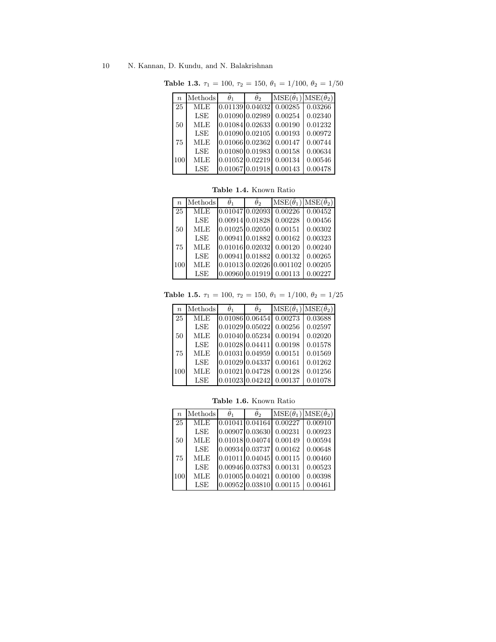| $\boldsymbol{n}$ | Methods    | $\theta_1$      | $\theta_2$      | $MSE(\hat{\theta}_1)$ $MSE(\hat{\theta}_2)$ |         |
|------------------|------------|-----------------|-----------------|---------------------------------------------|---------|
| 25               | <b>MLE</b> | 0.01139 0.04032 |                 | 0.00285                                     | 0.03266 |
|                  | LSE        | 0.01090 0.02989 |                 | 0.00254                                     | 0.02340 |
| 50               | <b>MLE</b> | 0.01084 0.02633 |                 | 0.00190                                     | 0.01232 |
|                  | LSE        | 0.01090 0.02105 |                 | 0.00193                                     | 0.00972 |
| 75               | <b>MLE</b> | 0.01066 0.02362 |                 | 0.00147                                     | 0.00744 |
|                  | LSE        | 0.01080 0.01983 |                 | 0.00158                                     | 0.00634 |
| 100              | <b>MLE</b> | 0.01052 0.02219 |                 | 0.00134                                     | 0.00546 |
|                  | LSE        |                 | 0.01067 0.01918 | 0.00143                                     | 0.00478 |

Table 1.3.  $\tau_1 = 100, \tau_2 = 150, \theta_1 = 1/100, \theta_2 = 1/50$ 

Table 1.4. Known Ratio

| $\boldsymbol{n}$ | Methods    | $\ddot{\theta}_1$ | $\ddot{\theta}$ | $MSE(\hat{\theta}_1)$ $MSE(\hat{\theta}_2)$ |         |
|------------------|------------|-------------------|-----------------|---------------------------------------------|---------|
| 25               | <b>MLE</b> | 0.0104710.02093   |                 | 0.00226                                     | 0.00452 |
|                  | LSE        | 0.00914 0.01828   |                 | 0.00228                                     | 0.00456 |
| 50               | <b>MLE</b> | $0.01025$ 0.02050 |                 | 0.00151                                     | 0.00302 |
|                  | LSE        | 0.00941 0.01882   |                 | 0.00162                                     | 0.00323 |
| 75               | <b>MLE</b> | $0.01016$ 0.02032 |                 | 0.00120                                     | 0.00240 |
|                  | LSE        | 0.0094110.01882   |                 | 0.00132                                     | 0.00265 |
| 100              | <b>MLE</b> |                   |                 | 0.01013 0.02026 0.001102                    | 0.00205 |
|                  | LSE        | 0.00960 0.01919   |                 | 0.00113                                     | 0.00227 |

Table 1.5.  $\tau_1 = 100$ ,  $\tau_2 = 150$ ,  $\theta_1 = 1/100$ ,  $\theta_2 = 1/25$ 

| $\boldsymbol{n}$ | Methods    | $\theta_1$        | $\theta_2$ | $MSE(\hat{\theta}_1)$ | $\overline{\mathrm{MSE}(\hat{\theta}_2)}$ |
|------------------|------------|-------------------|------------|-----------------------|-------------------------------------------|
| 25               | <b>MLE</b> | 0.01086 0.06454   |            | 0.00273               | 0.03688                                   |
|                  | LSE        | $0.01029$ 0.05022 |            | 0.00256               | 0.02597                                   |
| 50               | <b>MLE</b> | $0.01040$ 0.05234 |            | 0.00194               | 0.02020                                   |
|                  | LSE        | 0.01028 0.04411   |            | 0.00198               | 0.01578                                   |
| 75               | <b>MLE</b> | 0.01031 0.04959   |            | 0.00151               | 0.01569                                   |
|                  | LSE        | 0.01029 0.04337   |            | 0.00161               | 0.01262                                   |
| 100              | <b>MLE</b> | 0.01021 0.04728   |            | 0.00128               | 0.01256                                   |
|                  | LSE        | $0.01023$ 0.04242 |            | 0.00137               | 0.01078                                   |

Table 1.6. Known Ratio

| $\boldsymbol{n}$ | Methods    | $\theta_1$                   | $\theta_2$      | $MSE(\hat{\theta}_1)$ $MSE(\hat{\theta}_2)$ |         |
|------------------|------------|------------------------------|-----------------|---------------------------------------------|---------|
| 25               | <b>MLE</b> | $0.01041$ 0.04164            |                 | 0.00227                                     | 0.00910 |
|                  | LSE        | 0.00907 0.03630              |                 | 0.00231                                     | 0.00923 |
| 50               | <b>MLE</b> | 0.01018 0.04074              |                 | 0.00149                                     | 0.00594 |
|                  | LSE        | 0.00934 0.03737              |                 | 0.00162                                     | 0.00648 |
| 75               | <b>MLE</b> | $0.01011$ $0.04045$          |                 | 0.00115                                     | 0.00460 |
|                  | LSE        | 0.00946 0.03783              |                 | 0.00131                                     | 0.00523 |
| 100              | <b>MLE</b> | $0.01005$ <sub>0.04021</sub> |                 | 0.00100                                     | 0.00398 |
|                  | LSE        |                              | 0.00952 0.03810 | 0.00115                                     | 0.00461 |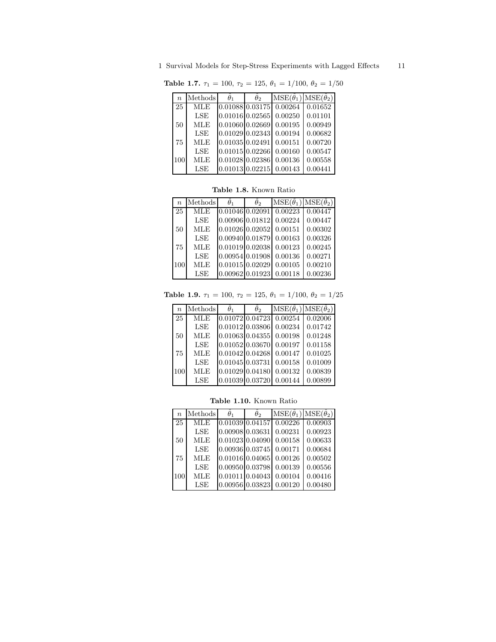1 Survival Models for Step-Stress Experiments with Lagged Effects 11

| $\,n$ | Methods    | $\theta_1$           | $\theta_2$ | $MSE(\hat{\theta}_1)$ $MSE(\hat{\theta}_2)$ |         |
|-------|------------|----------------------|------------|---------------------------------------------|---------|
| 25    | MLE        | $0.01088$ 0.03175    |            | 0.00264                                     | 0.01652 |
|       | LSE        | 0.01016 0.02565      |            | 0.00250                                     | 0.01101 |
| 50    | <b>MLE</b> | 0.01060 0.02669      |            | 0.00195                                     | 0.00949 |
|       | LSE        | 0.01029 0.02343      |            | 0.00194                                     | 0.00682 |
| 75    | <b>MLE</b> | $0.01035 \, 0.02491$ |            | 0.00151                                     | 0.00720 |
|       | LSE        | 0.01015 0.02266      |            | 0.00160                                     | 0.00547 |
| 100   | <b>MLE</b> | 0.0102810.02386      |            | 0.00136                                     | 0.00558 |
|       | LSE        | 0.01013 0.02215      |            | 0.00143                                     | 0.00441 |

Table 1.7.  $\tau_1 = 100, \tau_2 = 125, \theta_1 = 1/100, \theta_2 = 1/50$ 

|  | <b>Table 1.8.</b> Known Ratio |  |
|--|-------------------------------|--|
|  |                               |  |

| $\boldsymbol{n}$ | Methods    | $\hat{\theta}_1$  | $\hat{\theta}_2$ | $MSE(\hat{\theta}_1)$ $MSE(\hat{\theta}_2)$ |         |
|------------------|------------|-------------------|------------------|---------------------------------------------|---------|
| 25               | <b>MLE</b> | $0.01046$ 0.02091 |                  | 0.00223                                     | 0.00447 |
|                  | LSE        | 0.00906 0.01812   |                  | 0.00224                                     | 0.00447 |
| 50               | <b>MLE</b> | 0.01026 0.02052   |                  | 0.00151                                     | 0.00302 |
|                  | LSE        |                   | 0.00940 0.01879  | 0.00163                                     | 0.00326 |
| 75               | MLE        | 0.01019 0.02038   |                  | 0.00123                                     | 0.00245 |
|                  | LSE        |                   | 0.00954 0.01908  | 0.00136                                     | 0.00271 |
| 100              | <b>MLE</b> | 0.01015 0.02029   |                  | 0.00105                                     | 0.00210 |
|                  | LSE        |                   | 0.00962 0.01923  | 0.00118                                     | 0.00236 |

Table 1.9.  $\tau_1 = 100, \tau_2 = 125, \theta_1 = 1/100, \theta_2 = 1/25$ 

| $\boldsymbol{n}$ | Methods    | $\theta_1$        | $\theta_2$ | $MSE(\hat{\theta}_1)$ | $MSE(\hat{\theta}_2)$ |
|------------------|------------|-------------------|------------|-----------------------|-----------------------|
| 25               | <b>MLE</b> | $0.01072$ 0.04723 |            | 0.00254               | 0.02006               |
|                  | LSE        | $0.01012$ 0.03806 |            | 0.00234               | 0.01742               |
| 50               | <b>MLE</b> | 0.01063 0.04355   |            | 0.00198               | 0.01248               |
|                  | LSE        | 0.01052 0.03670   |            | 0.00197               | 0.01158               |
| 75               | <b>MLE</b> | 0.01042 0.04268   |            | 0.00147               | 0.01025               |
|                  | LSE        | 0.01045 0.03731   |            | 0.00158               | 0.01009               |
| 100              | <b>MLE</b> | $0.01029$ 0.04180 |            | 0.00132               | 0.00839               |
|                  | LSE        | 0.01039 0.03720   |            | 0.00144               | 0.00899               |

Table 1.10. Known Ratio

| $\boldsymbol{n}$ | Methods    | $\theta_1$          | $\theta_2$ | $MSE(\hat{\theta}_1)$ | $MSE(\hat{\theta}_2)$ |
|------------------|------------|---------------------|------------|-----------------------|-----------------------|
| 25               | <b>MLE</b> | 0.01039 0.04157     |            | 0.00226               | 0.00903               |
|                  | LSE        | 0.00908 0.03631     |            | 0.00231               | 0.00923               |
| 50               | <b>MLE</b> | $0.01023$ 0.04090   |            | 0.00158               | 0.00633               |
|                  | LSE        | $0.00936$ $0.03745$ |            | 0.00171               | 0.00684               |
| 75               | <b>MLE</b> | $0.01016$ 0.04065   |            | 0.00126               | 0.00502               |
|                  | LSE        | 0.00950 0.03798     |            | 0.00139               | 0.00556               |
| 100              | <b>MLE</b> | 0.01011 0.04043     |            | 0.00104               | 0.00416               |
|                  | LSE        | 0.00956 0.03823     |            | 0.00120               | 0.00480               |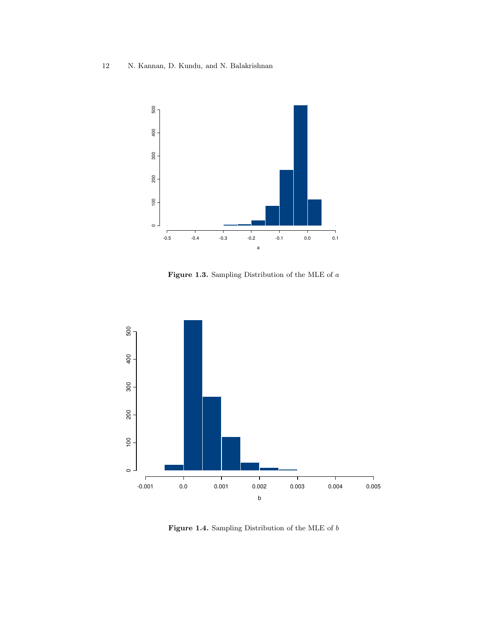

Figure 1.3. Sampling Distribution of the MLE of  $\boldsymbol{a}$ 



 $\bf Figure~1.4.$  Sampling Distribution of the MLE of  $b$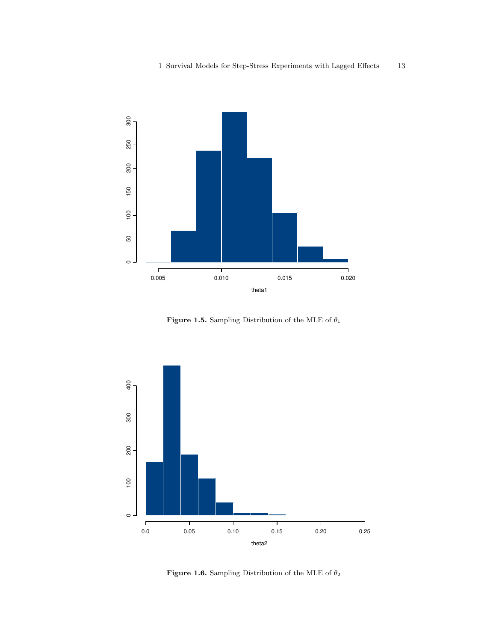

Figure 1.5. Sampling Distribution of the MLE of  $\theta_1$ 



Figure 1.6. Sampling Distribution of the MLE of  $\theta_2$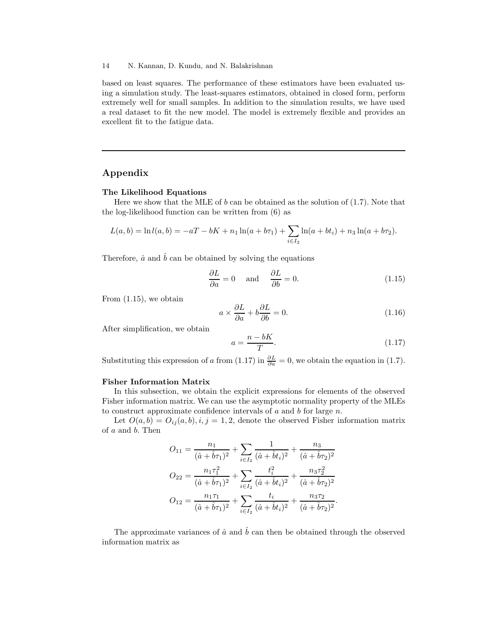based on least squares. The performance of these estimators have been evaluated using a simulation study. The least-squares estimators, obtained in closed form, perform extremely well for small samples. In addition to the simulation results, we have used a real dataset to fit the new model. The model is extremely flexible and provides an excellent fit to the fatigue data.

# Appendix

#### The Likelihood Equations

Here we show that the MLE of b can be obtained as the solution of  $(1.7)$ . Note that the log-likelihood function can be written from (6) as

$$
L(a,b) = \ln l(a,b) = -aT - bK + n_1 \ln(a+b\tau_1) + \sum_{i \in I_2} \ln(a+bt_i) + n_3 \ln(a+b\tau_2).
$$

Therefore,  $\hat{a}$  and  $\hat{b}$  can be obtained by solving the equations

$$
\frac{\partial L}{\partial a} = 0 \quad \text{and} \quad \frac{\partial L}{\partial b} = 0. \tag{1.15}
$$

From (1.15), we obtain

$$
a \times \frac{\partial L}{\partial a} + b \frac{\partial L}{\partial b} = 0.
$$
 (1.16)

After simplification, we obtain

$$
a = \frac{n - bK}{T}.\tag{1.17}
$$

Substituting this expression of a from (1.17) in  $\frac{\partial L}{\partial a} = 0$ , we obtain the equation in (1.7).

#### Fisher Information Matrix

In this subsection, we obtain the explicit expressions for elements of the observed Fisher information matrix. We can use the asymptotic normality property of the MLEs to construct approximate confidence intervals of  $a$  and  $b$  for large  $n$ .

Let  $O(a, b) = O_{ij}(a, b), i, j = 1, 2$ , denote the observed Fisher information matrix of a and b. Then

$$
O_{11} = \frac{n_1}{(\hat{a} + \hat{b}\tau_1)^2} + \sum_{i \in I_2} \frac{1}{(\hat{a} + \hat{b}t_i)^2} + \frac{n_3}{(\hat{a} + \hat{b}\tau_2)^2}
$$

$$
O_{22} = \frac{n_1\tau_1^2}{(\hat{a} + \hat{b}\tau_1)^2} + \sum_{i \in I_2} \frac{t_i^2}{(\hat{a} + \hat{b}t_i)^2} + \frac{n_3\tau_2^2}{(\hat{a} + \hat{b}\tau_2)^2}
$$

$$
O_{12} = \frac{n_1\tau_1}{(\hat{a} + \hat{b}\tau_1)^2} + \sum_{i \in I_2} \frac{t_i}{(\hat{a} + \hat{b}t_i)^2} + \frac{n_3\tau_2}{(\hat{a} + \hat{b}\tau_2)^2}.
$$

The approximate variances of  $\hat{a}$  and  $\hat{b}$  can then be obtained through the observed information matrix as